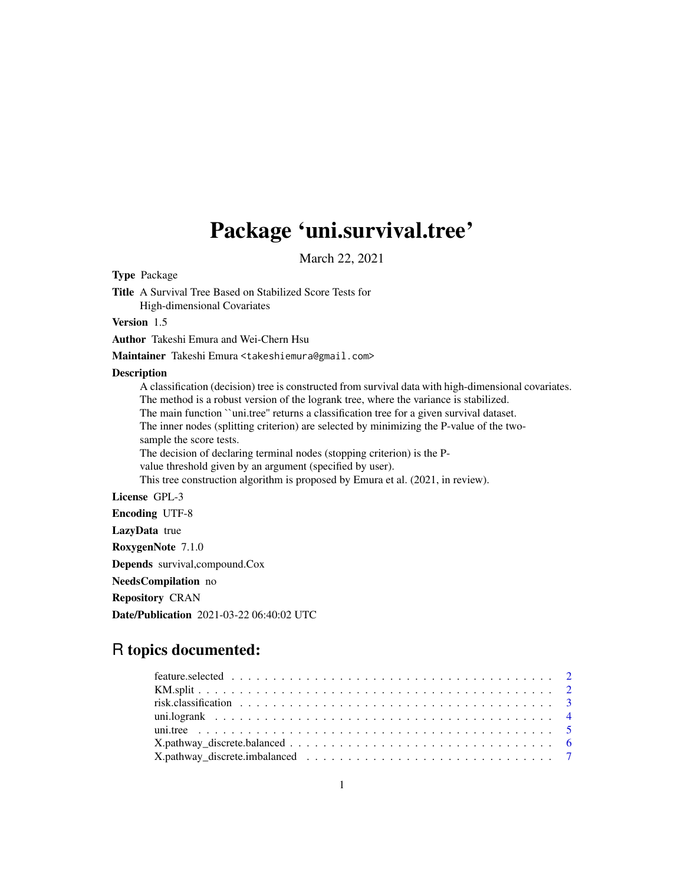## Package 'uni.survival.tree'

March 22, 2021

Type Package

Title A Survival Tree Based on Stabilized Score Tests for High-dimensional Covariates

Version 1.5

Author Takeshi Emura and Wei-Chern Hsu

Maintainer Takeshi Emura <takeshiemura@gmail.com>

#### Description

A classification (decision) tree is constructed from survival data with high-dimensional covariates. The method is a robust version of the logrank tree, where the variance is stabilized. The main function ``uni.tree'' returns a classification tree for a given survival dataset. The inner nodes (splitting criterion) are selected by minimizing the P-value of the twosample the score tests. The decision of declaring terminal nodes (stopping criterion) is the Pvalue threshold given by an argument (specified by user). This tree construction algorithm is proposed by Emura et al. (2021, in review). License GPL-3

Encoding UTF-8

LazyData true

RoxygenNote 7.1.0

Depends survival,compound.Cox

NeedsCompilation no

Repository CRAN

Date/Publication 2021-03-22 06:40:02 UTC

### R topics documented: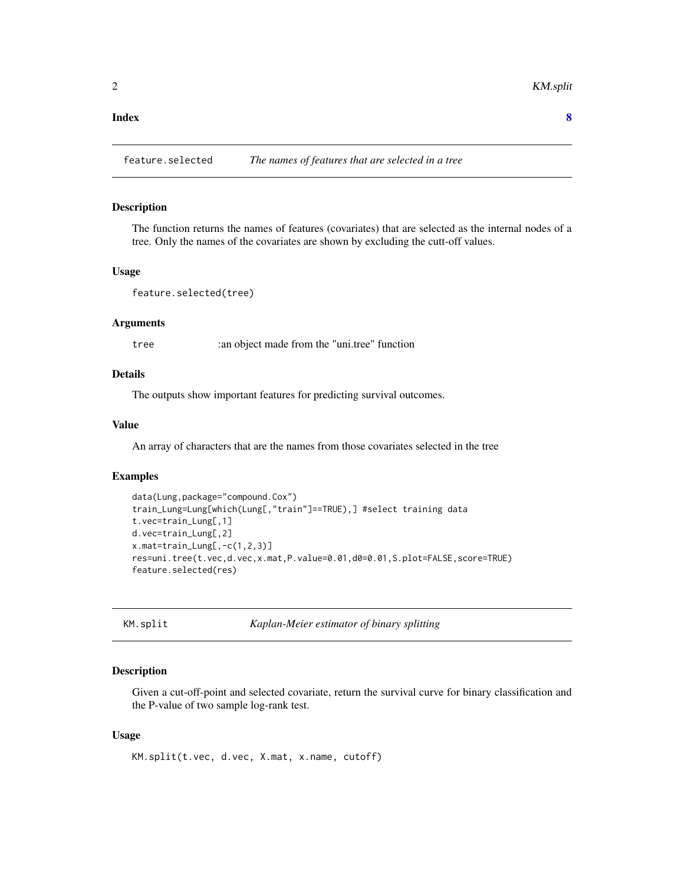#### <span id="page-1-0"></span>**Index** [8](#page-7-0) **8**

feature.selected *The names of features that are selected in a tree*

#### Description

The function returns the names of features (covariates) that are selected as the internal nodes of a tree. Only the names of the covariates are shown by excluding the cutt-off values.

#### Usage

feature.selected(tree)

#### Arguments

tree :an object made from the "uni.tree" function

#### Details

The outputs show important features for predicting survival outcomes.

#### Value

An array of characters that are the names from those covariates selected in the tree

#### Examples

```
data(Lung,package="compound.Cox")
train_Lung=Lung[which(Lung[,"train"]==TRUE),] #select training data
t.vec=train_Lung[,1]
d.vec=train_Lung[,2]
x.mat=train_Lung[,-c(1,2,3)]
res=uni.tree(t.vec,d.vec,x.mat,P.value=0.01,d0=0.01,S.plot=FALSE,score=TRUE)
feature.selected(res)
```
KM.split *Kaplan-Meier estimator of binary splitting*

#### Description

Given a cut-off-point and selected covariate, return the survival curve for binary classification and the P-value of two sample log-rank test.

#### Usage

KM.split(t.vec, d.vec, X.mat, x.name, cutoff)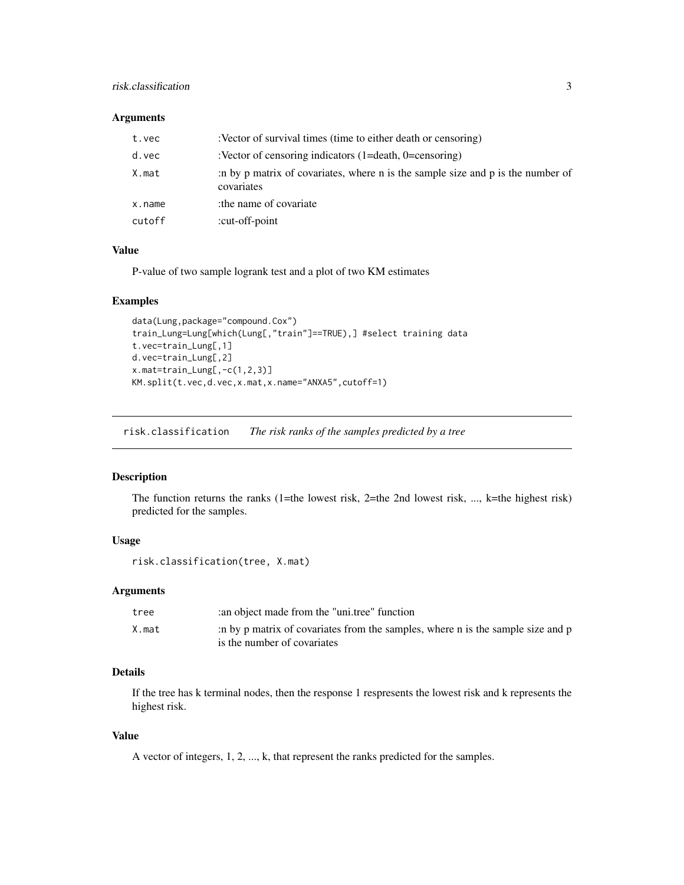#### <span id="page-2-0"></span>risk.classification 3

#### Arguments

| t.vec  | :Vector of survival times (time to either death or censoring)                                 |
|--------|-----------------------------------------------------------------------------------------------|
| d.vec  | :Vector of censoring indicators $(1=$ death, $0=$ censoring)                                  |
| X.mat  | in by p matrix of covariates, where n is the sample size and p is the number of<br>covariates |
| x.name | the name of covariate                                                                         |
| cutoff | :cut-off-point                                                                                |

#### Value

P-value of two sample logrank test and a plot of two KM estimates

#### Examples

```
data(Lung,package="compound.Cox")
train_Lung=Lung[which(Lung[,"train"]==TRUE),] #select training data
t.vec=train_Lung[,1]
d.vec=train_Lung[,2]
x.mat=train_Lung[,-c(1,2,3)]
KM.split(t.vec,d.vec,x.mat,x.name="ANXA5",cutoff=1)
```
risk.classification *The risk ranks of the samples predicted by a tree*

#### Description

The function returns the ranks (1=the lowest risk, 2=the 2nd lowest risk, ..., k=the highest risk) predicted for the samples.

#### Usage

```
risk.classification(tree, X.mat)
```
#### Arguments

| tree  | an object made from the "unitree" function                                                                     |
|-------|----------------------------------------------------------------------------------------------------------------|
| X.mat | in by p matrix of covariates from the samples, where n is the sample size and p<br>is the number of covariates |

#### Details

If the tree has k terminal nodes, then the response 1 respresents the lowest risk and k represents the highest risk.

#### Value

A vector of integers, 1, 2, ..., k, that represent the ranks predicted for the samples.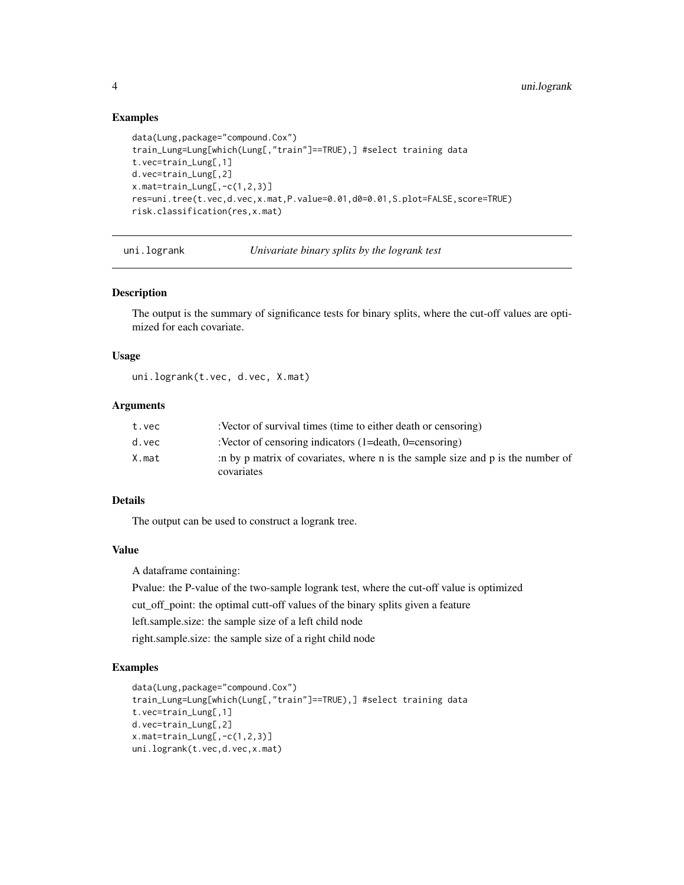#### Examples

```
data(Lung,package="compound.Cox")
train_Lung=Lung[which(Lung[,"train"]==TRUE),] #select training data
t.vec=train_Lung[,1]
d.vec=train_Lung[,2]
x.mat=train_Lung[,-c(1,2,3)]
res=uni.tree(t.vec,d.vec,x.mat,P.value=0.01,d0=0.01,S.plot=FALSE,score=TRUE)
risk.classification(res,x.mat)
```
uni.logrank *Univariate binary splits by the logrank test*

#### Description

The output is the summary of significance tests for binary splits, where the cut-off values are optimized for each covariate.

#### Usage

uni.logrank(t.vec, d.vec, X.mat)

#### Arguments

| t.vec | :Vector of survival times (time to either death or censoring)                                 |
|-------|-----------------------------------------------------------------------------------------------|
| d.vec | :Vector of censoring indicators $(1=$ death, $0=$ censoring)                                  |
| X.mat | :n by p matrix of covariates, where n is the sample size and p is the number of<br>covariates |

#### Details

The output can be used to construct a logrank tree.

#### Value

A dataframe containing:

Pvalue: the P-value of the two-sample logrank test, where the cut-off value is optimized

cut\_off\_point: the optimal cutt-off values of the binary splits given a feature

left.sample.size: the sample size of a left child node

right.sample.size: the sample size of a right child node

#### Examples

```
data(Lung,package="compound.Cox")
train_Lung=Lung[which(Lung[,"train"]==TRUE),] #select training data
t.vec=train_Lung[,1]
d.vec=train_Lung[,2]
x.mat=train_Lung[,-c(1,2,3)]
uni.logrank(t.vec,d.vec,x.mat)
```
<span id="page-3-0"></span>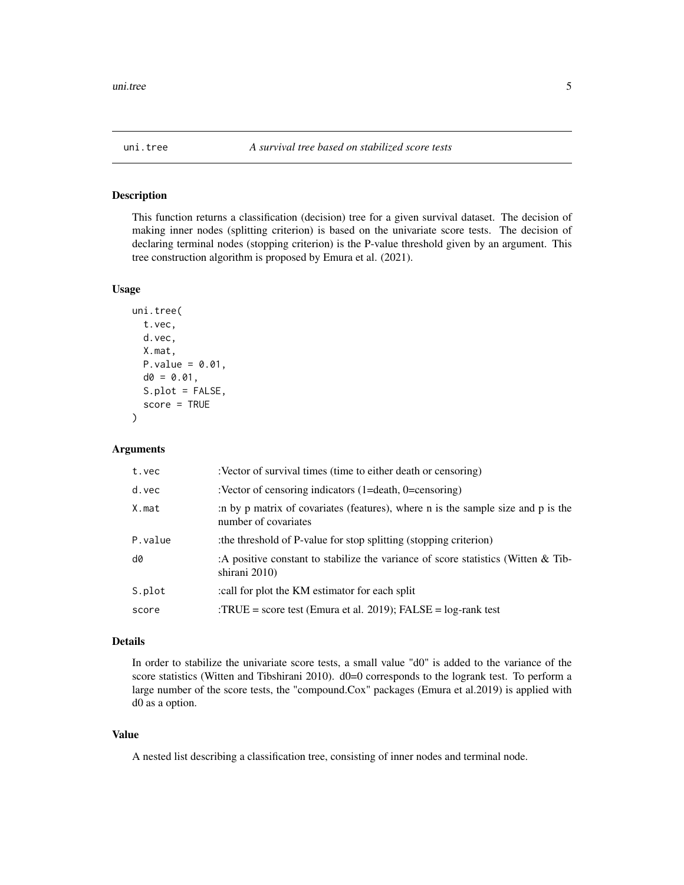<span id="page-4-0"></span>

#### Description

This function returns a classification (decision) tree for a given survival dataset. The decision of making inner nodes (splitting criterion) is based on the univariate score tests. The decision of declaring terminal nodes (stopping criterion) is the P-value threshold given by an argument. This tree construction algorithm is proposed by Emura et al. (2021).

#### Usage

```
uni.tree(
  t.vec,
  d.vec,
  X.mat,
  P-value = 0.01,d0 = 0.01,
  S.plot = FALSE,
  score = TRUE
)
```
#### Arguments

| t.vec   | :Vector of survival times (time to either death or censoring)                                            |
|---------|----------------------------------------------------------------------------------------------------------|
| d.vec   | :Vector of censoring indicators $(1=$ death, $0=$ censoring)                                             |
| X.mat   | in by p matrix of covariates (features), where n is the sample size and p is the<br>number of covariates |
| P.value | the threshold of P-value for stop splitting (stopping criterion)                                         |
| d0      | : A positive constant to stabilize the variance of score statistics (Witten $\&$ Tib-<br>shirani 2010)   |
| S.plot  | :call for plot the KM estimator for each split                                                           |
| score   | : $TRUE = score test$ (Emura et al. 2019); $FALSE = log-rank test$                                       |

#### Details

In order to stabilize the univariate score tests, a small value "d0" is added to the variance of the score statistics (Witten and Tibshirani 2010). d0=0 corresponds to the logrank test. To perform a large number of the score tests, the "compound.Cox" packages (Emura et al.2019) is applied with d0 as a option.

#### Value

A nested list describing a classification tree, consisting of inner nodes and terminal node.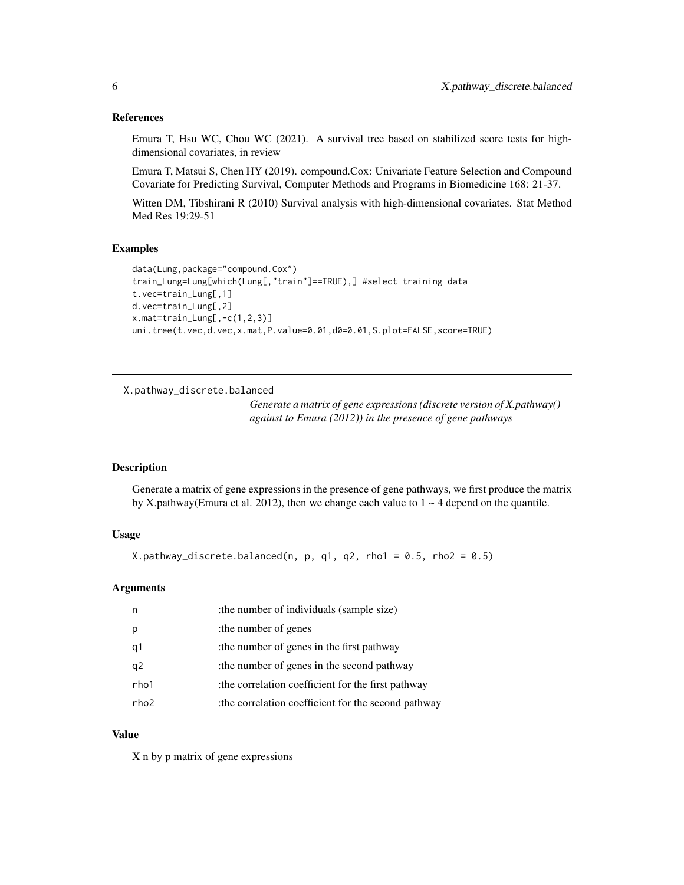#### <span id="page-5-0"></span>References

Emura T, Hsu WC, Chou WC (2021). A survival tree based on stabilized score tests for highdimensional covariates, in review

Emura T, Matsui S, Chen HY (2019). compound.Cox: Univariate Feature Selection and Compound Covariate for Predicting Survival, Computer Methods and Programs in Biomedicine 168: 21-37.

Witten DM, Tibshirani R (2010) Survival analysis with high-dimensional covariates. Stat Method Med Res 19:29-51

#### Examples

```
data(Lung,package="compound.Cox")
train_Lung=Lung[which(Lung[,"train"]==TRUE),] #select training data
t.vec=train_Lung[,1]
d.vec=train_Lung[,2]
x.mat=train_Lung[,-c(1,2,3)]
uni.tree(t.vec,d.vec,x.mat,P.value=0.01,d0=0.01,S.plot=FALSE,score=TRUE)
```
X.pathway\_discrete.balanced

*Generate a matrix of gene expressions (discrete version of X.pathway() against to Emura (2012)) in the presence of gene pathways*

#### **Description**

Generate a matrix of gene expressions in the presence of gene pathways, we first produce the matrix by X.pathway(Emura et al. 2012), then we change each value to  $1 \sim 4$  depend on the quantile.

#### Usage

X.pathway\_discrete.balanced(n, p, q1, q2, rho1 = 0.5, rho2 = 0.5)

#### Arguments

|      | : the number of individuals (sample size)          |
|------|----------------------------------------------------|
| р    | the number of genes                                |
| q1   | the number of genes in the first pathway           |
| q2   | the number of genes in the second pathway          |
| rho1 | the correlation coefficient for the first pathway  |
| rho2 | the correlation coefficient for the second pathway |

#### Value

X n by p matrix of gene expressions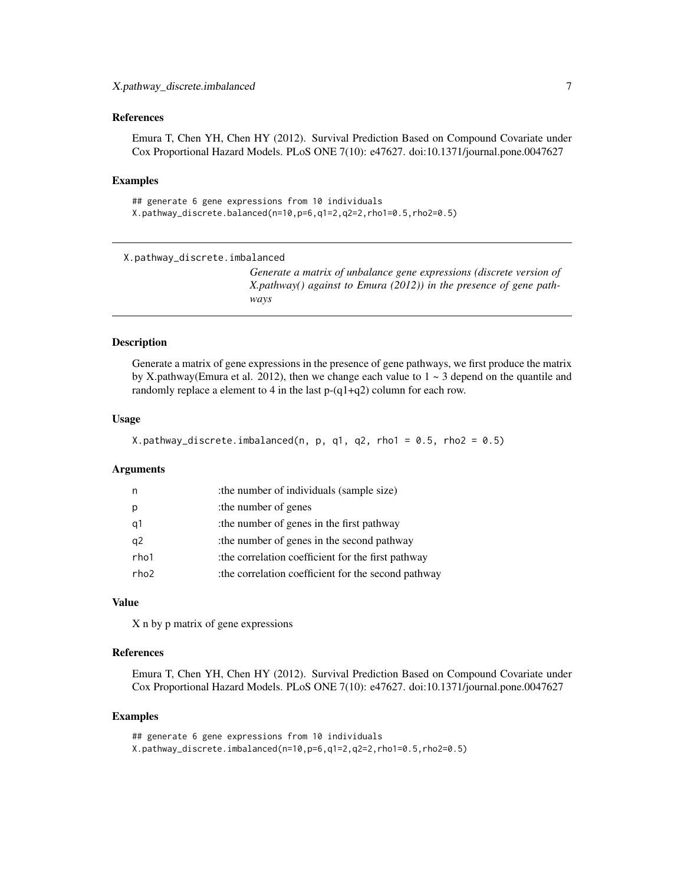#### <span id="page-6-0"></span>References

Emura T, Chen YH, Chen HY (2012). Survival Prediction Based on Compound Covariate under Cox Proportional Hazard Models. PLoS ONE 7(10): e47627. doi:10.1371/journal.pone.0047627

#### Examples

```
## generate 6 gene expressions from 10 individuals
X.pathway_discrete.balanced(n=10,p=6,q1=2,q2=2,rho1=0.5,rho2=0.5)
```

```
X.pathway_discrete.imbalanced
```
*Generate a matrix of unbalance gene expressions (discrete version of X.pathway() against to Emura (2012)) in the presence of gene pathways*

#### Description

Generate a matrix of gene expressions in the presence of gene pathways, we first produce the matrix by X.pathway(Emura et al. 2012), then we change each value to  $1 \sim 3$  depend on the quantile and randomly replace a element to 4 in the last  $p-(q1+q2)$  column for each row.

#### Usage

```
X.pathway_discrete.imbalanced(n, p, q1, q2, rho1 = 0.5, rho2 = 0.5)
```
#### **Arguments**

| n,   | : the number of individuals (sample size)           |
|------|-----------------------------------------------------|
| p    | the number of genes                                 |
| q1   | the number of genes in the first pathway            |
| q2   | the number of genes in the second pathway           |
| rho1 | the correlation coefficient for the first pathway   |
| rho2 | :the correlation coefficient for the second pathway |

#### Value

X n by p matrix of gene expressions

#### References

Emura T, Chen YH, Chen HY (2012). Survival Prediction Based on Compound Covariate under Cox Proportional Hazard Models. PLoS ONE 7(10): e47627. doi:10.1371/journal.pone.0047627

#### Examples

```
## generate 6 gene expressions from 10 individuals
X.pathway_discrete.imbalanced(n=10,p=6,q1=2,q2=2,rho1=0.5,rho2=0.5)
```